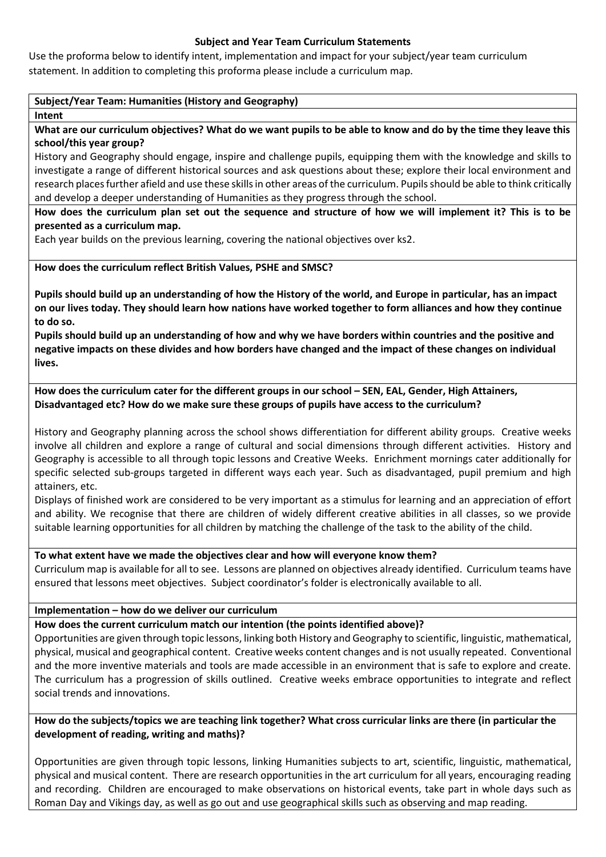## **Subject and Year Team Curriculum Statements**

Use the proforma below to identify intent, implementation and impact for your subject/year team curriculum statement. In addition to completing this proforma please include a curriculum map.

## **Subject/Year Team: Humanities (History and Geography)**

**Intent**

**What are our curriculum objectives? What do we want pupils to be able to know and do by the time they leave this school/this year group?**

History and Geography should engage, inspire and challenge pupils, equipping them with the knowledge and skills to investigate a range of different historical sources and ask questions about these; explore their local environment and research places further afield and use these skills in other areas of the curriculum. Pupils should be able to think critically and develop a deeper understanding of Humanities as they progress through the school.

**How does the curriculum plan set out the sequence and structure of how we will implement it? This is to be presented as a curriculum map.**

Each year builds on the previous learning, covering the national objectives over ks2.

## **How does the curriculum reflect British Values, PSHE and SMSC?**

**Pupils should build up an understanding of how the History of the world, and Europe in particular, has an impact on our lives today. They should learn how nations have worked together to form alliances and how they continue to do so.** 

**Pupils should build up an understanding of how and why we have borders within countries and the positive and negative impacts on these divides and how borders have changed and the impact of these changes on individual lives.** 

**How does the curriculum cater for the different groups in our school – SEN, EAL, Gender, High Attainers, Disadvantaged etc? How do we make sure these groups of pupils have access to the curriculum?**

History and Geography planning across the school shows differentiation for different ability groups. Creative weeks involve all children and explore a range of cultural and social dimensions through different activities. History and Geography is accessible to all through topic lessons and Creative Weeks. Enrichment mornings cater additionally for specific selected sub-groups targeted in different ways each year. Such as disadvantaged, pupil premium and high attainers, etc.

Displays of finished work are considered to be very important as a stimulus for learning and an appreciation of effort and ability. We recognise that there are children of widely different creative abilities in all classes, so we provide suitable learning opportunities for all children by matching the challenge of the task to the ability of the child.

#### **To what extent have we made the objectives clear and how will everyone know them?**

Curriculum map is available for all to see. Lessons are planned on objectives already identified. Curriculum teams have ensured that lessons meet objectives. Subject coordinator's folder is electronically available to all.

# **Implementation – how do we deliver our curriculum**

# **How does the current curriculum match our intention (the points identified above)?**

Opportunities are given through topic lessons, linking both History and Geography to scientific, linguistic, mathematical, physical, musical and geographical content. Creative weeks content changes and is not usually repeated. Conventional and the more inventive materials and tools are made accessible in an environment that is safe to explore and create. The curriculum has a progression of skills outlined. Creative weeks embrace opportunities to integrate and reflect social trends and innovations.

## **How do the subjects/topics we are teaching link together? What cross curricular links are there (in particular the development of reading, writing and maths)?**

Opportunities are given through topic lessons, linking Humanities subjects to art, scientific, linguistic, mathematical, physical and musical content. There are research opportunities in the art curriculum for all years, encouraging reading and recording. Children are encouraged to make observations on historical events, take part in whole days such as Roman Day and Vikings day, as well as go out and use geographical skills such as observing and map reading.